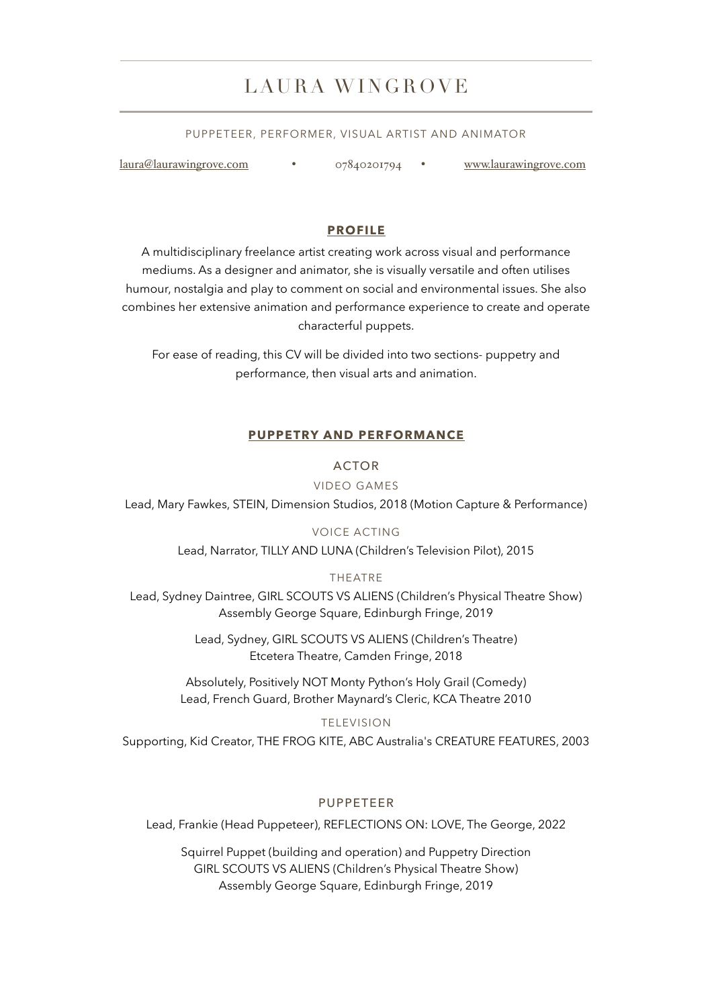# LAURA WINGROVE

#### PUPPETEER, PERFORMER, VISUAL ARTIST AND ANIMATOR

[laura@laurawingrove.com](mailto:laura@laurawingrove.com) • 07840201794 • [www.laurawingrove.com](http://www.laurawingrove.com)

#### **PROFILE**

A multidisciplinary freelance artist creating work across visual and performance mediums. As a designer and animator, she is visually versatile and often utilises humour, nostalgia and play to comment on social and environmental issues. She also combines her extensive animation and performance experience to create and operate characterful puppets.

For ease of reading, this CV will be divided into two sections- puppetry and performance, then visual arts and animation.

#### **PUPPETRY AND PERFORMANCE**

#### ACTOR

#### VIDEO GAMES

Lead, Mary Fawkes, STEIN, Dimension Studios, 2018 (Motion Capture & Performance)

#### VOICE ACTING

Lead, Narrator, TILLY AND LUNA (Children's Television Pilot), 2015

#### THEATRE

Lead, Sydney Daintree, GIRL SCOUTS VS ALIENS (Children's Physical Theatre Show) Assembly George Square, Edinburgh Fringe, 2019

> Lead, Sydney, GIRL SCOUTS VS ALIENS (Children's Theatre) Etcetera Theatre, Camden Fringe, 2018

Absolutely, Positively NOT Monty Python's Holy Grail (Comedy) Lead, French Guard, Brother Maynard's Cleric, KCA Theatre 2010

TELEVISION

Supporting, Kid Creator, THE FROG KITE, ABC Australia's CREATURE FEATURES, 2003

#### PUPPETEER

Lead, Frankie (Head Puppeteer), REFLECTIONS ON: LOVE, The George, 2022

Squirrel Puppet (building and operation) and Puppetry Direction GIRL SCOUTS VS ALIENS (Children's Physical Theatre Show) Assembly George Square, Edinburgh Fringe, 2019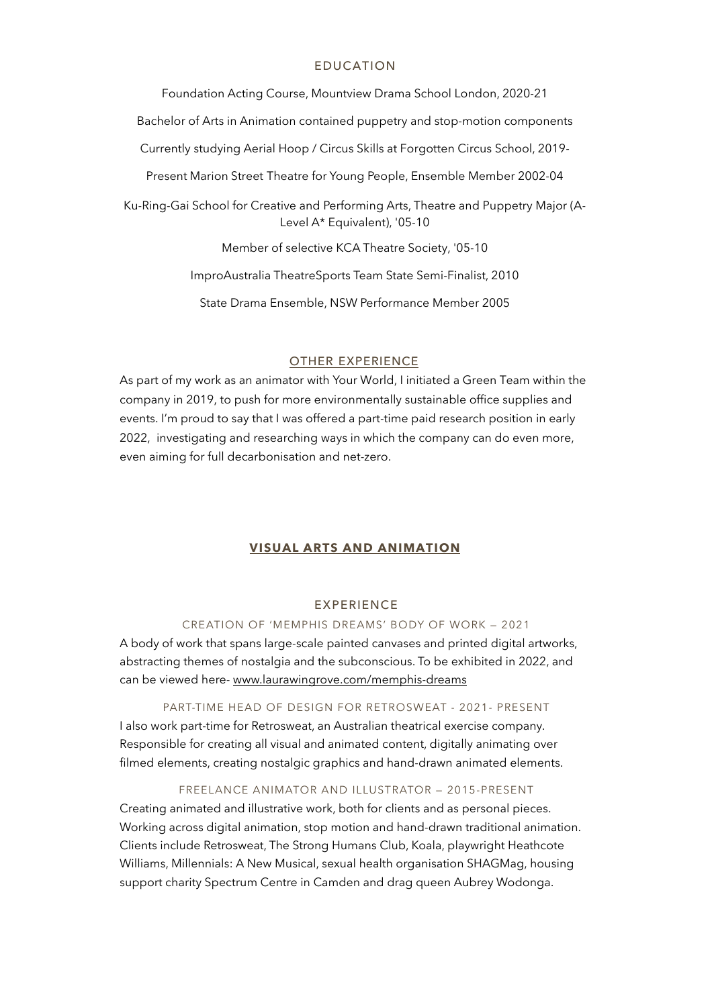### EDUCATION

Foundation Acting Course, Mountview Drama School London, 2020-21

Bachelor of Arts in Animation contained puppetry and stop-motion components

Currently studying Aerial Hoop / Circus Skills at Forgotten Circus School, 2019-

Present Marion Street Theatre for Young People, Ensemble Member 2002-04

Ku-Ring-Gai School for Creative and Performing Arts, Theatre and Puppetry Major (A-Level A\* Equivalent), '05-10

Member of selective KCA Theatre Society, '05-10

ImproAustralia TheatreSports Team State Semi-Finalist, 2010

State Drama Ensemble, NSW Performance Member 2005

#### **OTHER EXPERIENCE**

As part of my work as an animator with Your World, I initiated a Green Team within the company in 2019, to push for more environmentally sustainable office supplies and events. I'm proud to say that I was offered a part-time paid research position in early 2022, investigating and researching ways in which the company can do even more, even aiming for full decarbonisation and net-zero.

### **VISUAL ARTS AND ANIMATION**

#### EXPERIENCE

### CREATION OF 'MEMPHIS DREAMS' BODY OF WORK — 2021

A body of work that spans large-scale painted canvases and printed digital artworks, abstracting themes of nostalgia and the subconscious. To be exhibited in 2022, and can be viewed here- [www.laurawingrove.com/memphis-dreams](http://www.laurawingrove.com/memphis-dreams)

PART-TIME HEAD OF DESIGN FOR RETROSWEAT - 2021- PRESENT I also work part-time for Retrosweat, an Australian theatrical exercise company. Responsible for creating all visual and animated content, digitally animating over filmed elements, creating nostalgic graphics and hand-drawn animated elements.

#### FREELANCE ANIMATOR AND ILLUSTRATOR — 2015-PRESENT

Creating animated and illustrative work, both for clients and as personal pieces. Working across digital animation, stop motion and hand-drawn traditional animation. Clients include Retrosweat, The Strong Humans Club, Koala, playwright Heathcote Williams, Millennials: A New Musical, sexual health organisation SHAGMag, housing support charity Spectrum Centre in Camden and drag queen Aubrey Wodonga.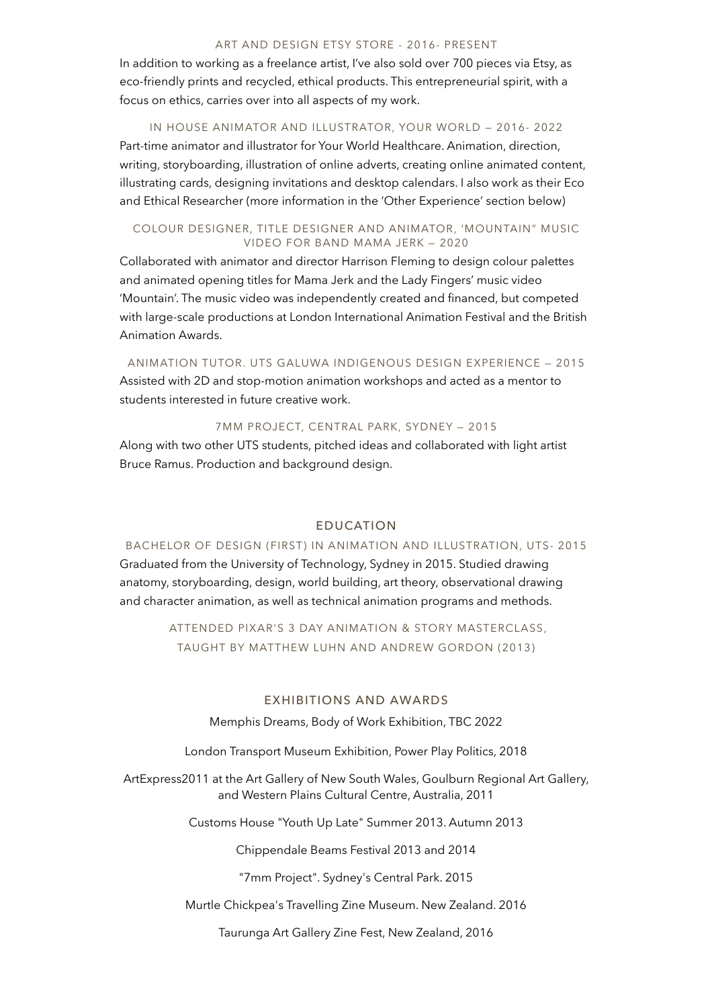# ART AND DESIGN ETSY STORE - 2016- PRESENT

In addition to working as a freelance artist, I've also sold over 700 pieces via Etsy, as eco-friendly prints and recycled, ethical products. This entrepreneurial spirit, with a focus on ethics, carries over into all aspects of my work.

# IN HOUSE ANIMATOR AND ILLUSTRATOR, YOUR WORLD — 2016- 2022 Part-time animator and illustrator for Your World Healthcare. Animation, direction, writing, storyboarding, illustration of online adverts, creating online animated content, illustrating cards, designing invitations and desktop calendars. I also work as their Eco and Ethical Researcher (more information in the 'Other Experience' section below)

### COLOUR DESIGNER, TITLE DESIGNER AND ANIMATOR, 'MOUNTAIN" MUSIC VIDEO FOR BAND MAMA JERK — 2020

Collaborated with animator and director Harrison Fleming to design colour palettes and animated opening titles for Mama Jerk and the Lady Fingers' music video 'Mountain'. The music video was independently created and financed, but competed with large-scale productions at London International Animation Festival and the British Animation Awards.

ANIMATION TUTOR. UTS GALUWA INDIGENOUS DESIGN EXPERIENCE — 2015

Assisted with 2D and stop-motion animation workshops and acted as a mentor to students interested in future creative work.

7MM PROJECT, CENTRAL PARK, SYDNEY — 2015

Along with two other UTS students, pitched ideas and collaborated with light artist Bruce Ramus. Production and background design.

## EDUCATION

BACHELOR OF DESIGN (FIRST) IN ANIMATION AND ILLUSTRATION, UTS- 2015 Graduated from the University of Technology, Sydney in 2015. Studied drawing anatomy, storyboarding, design, world building, art theory, observational drawing and character animation, as well as technical animation programs and methods.

> ATTENDED PIXAR'S 3 DAY ANIMATION & STORY MASTERCLASS, TAUGHT BY MATTHEW LUHN AND ANDREW GORDON (2013)

## EXHIBITIONS AND AWARDS

Memphis Dreams, Body of Work Exhibition, TBC 2022

London Transport Museum Exhibition, Power Play Politics, 2018

ArtExpress2011 at the Art Gallery of New South Wales, Goulburn Regional Art Gallery, and Western Plains Cultural Centre, Australia, 2011

Customs House "Youth Up Late" Summer 2013. Autumn 2013

Chippendale Beams Festival 2013 and 2014

"7mm Project". Sydney's Central Park. 2015

Murtle Chickpea's Travelling Zine Museum. New Zealand. 2016

Taurunga Art Gallery Zine Fest, New Zealand, 2016